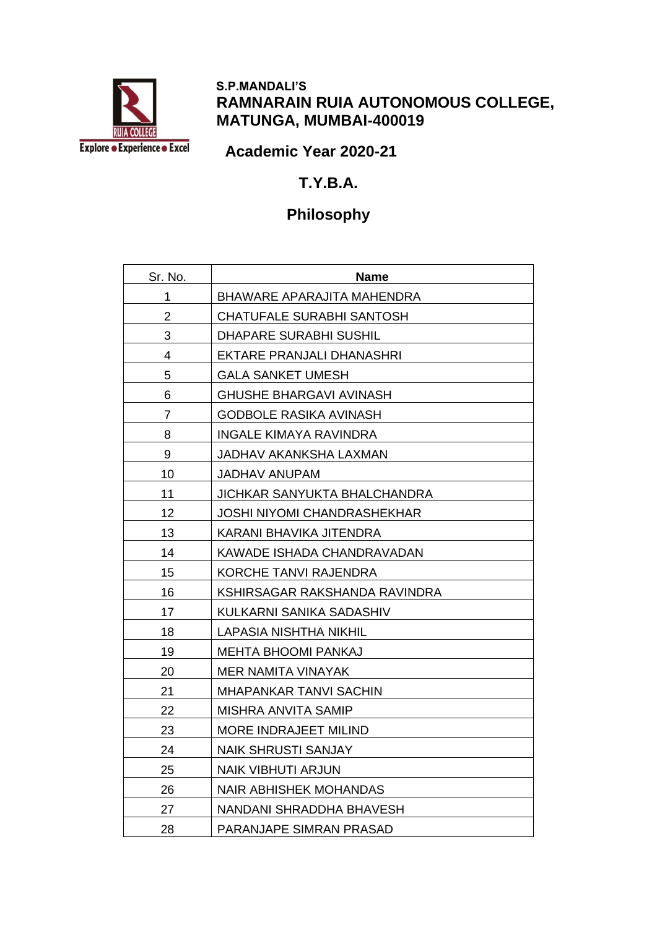

## **S.P.MANDALI'S RAMNARAIN RUIA AUTONOMOUS COLLEGE, MATUNGA, MUMBAI-400019**

 **Academic Year 2020-21**

## **T.Y.B.A.**

## **Philosophy**

| Sr. No.        | <b>Name</b>                         |
|----------------|-------------------------------------|
| 1              | <b>BHAWARE APARAJITA MAHENDRA</b>   |
| $\overline{2}$ | <b>CHATUFALE SURABHI SANTOSH</b>    |
| 3              | DHAPARE SURABHI SUSHIL              |
| $\overline{4}$ | EKTARE PRANJALI DHANASHRI           |
| 5              | <b>GALA SANKET UMESH</b>            |
| 6              | <b>GHUSHE BHARGAVI AVINASH</b>      |
| 7              | <b>GODBOLE RASIKA AVINASH</b>       |
| 8              | <b>INGALE KIMAYA RAVINDRA</b>       |
| 9              | JADHAV AKANKSHA LAXMAN              |
| 10             | <b>JADHAV ANUPAM</b>                |
| 11             | <b>JICHKAR SANYUKTA BHALCHANDRA</b> |
| 12             | <b>JOSHI NIYOMI CHANDRASHEKHAR</b>  |
| 13             | KARANI BHAVIKA JITENDRA             |
| 14             | KAWADE ISHADA CHANDRAVADAN          |
| 15             | KORCHE TANVI RAJENDRA               |
| 16             | KSHIRSAGAR RAKSHANDA RAVINDRA       |
| 17             | KULKARNI SANIKA SADASHIV            |
| 18             | <b>LAPASIA NISHTHA NIKHIL</b>       |
| 19             | <b>MEHTA BHOOMI PANKAJ</b>          |
| 20             | <b>MER NAMITA VINAYAK</b>           |
| 21             | <b>MHAPANKAR TANVI SACHIN</b>       |
| 22             | MISHRA ANVITA SAMIP                 |
| 23             | <b>MORE INDRAJEET MILIND</b>        |
| 24             | <b>NAIK SHRUSTI SANJAY</b>          |
| 25             | <b>NAIK VIBHUTI ARJUN</b>           |
| 26             | <b>NAIR ABHISHEK MOHANDAS</b>       |
| 27             | NANDANI SHRADDHA BHAVESH            |
| 28             | PARANJAPE SIMRAN PRASAD             |